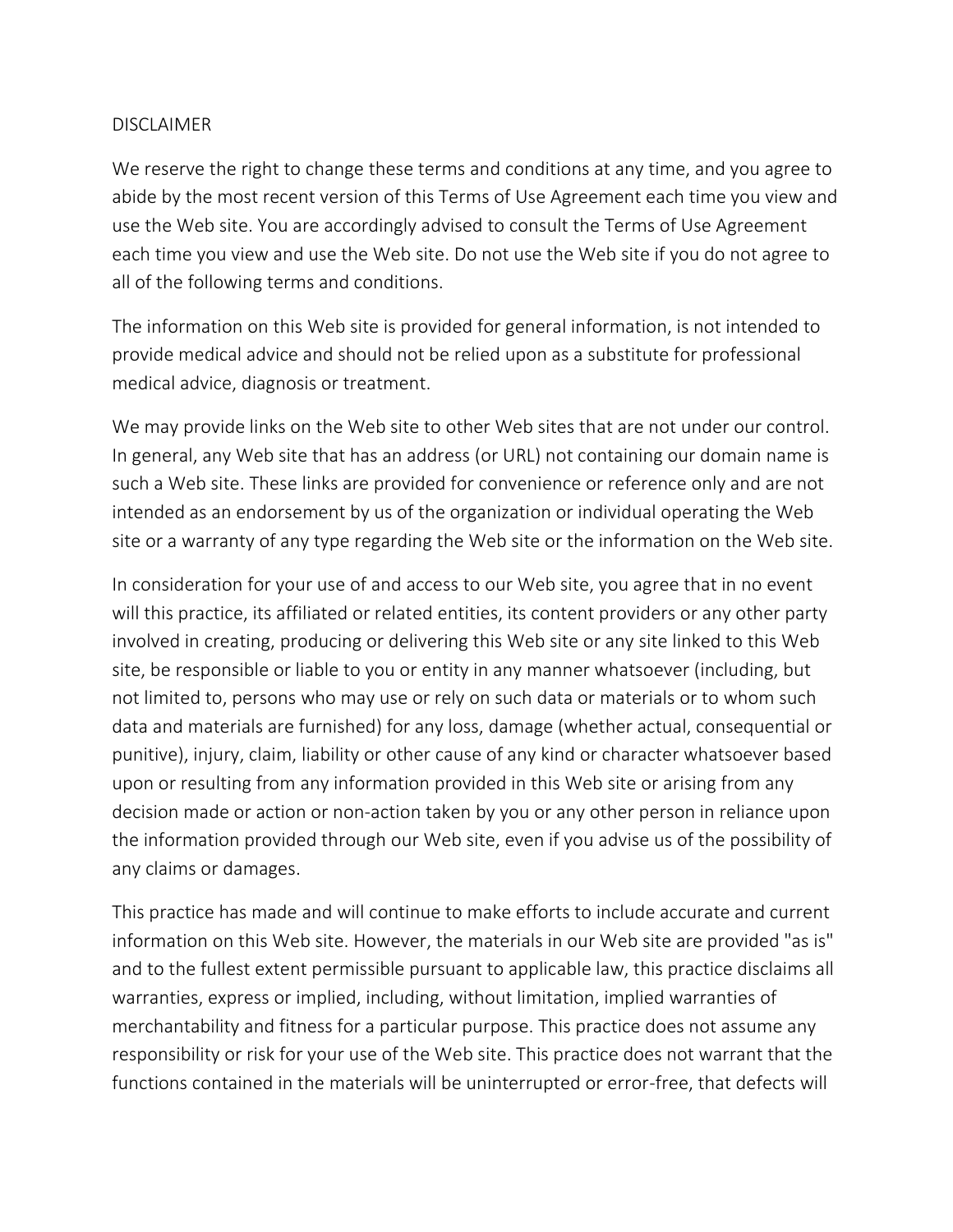## DISCLAIMER

We reserve the right to change these terms and conditions at any time, and you agree to abide by the most recent version of this Terms of Use Agreement each time you view and use the Web site. You are accordingly advised to consult the Terms of Use Agreement each time you view and use the Web site. Do not use the Web site if you do not agree to all of the following terms and conditions.

The information on this Web site is provided for general information, is not intended to provide medical advice and should not be relied upon as a substitute for professional medical advice, diagnosis or treatment.

We may provide links on the Web site to other Web sites that are not under our control. In general, any Web site that has an address (or URL) not containing our domain name is such a Web site. These links are provided for convenience or reference only and are not intended as an endorsement by us of the organization or individual operating the Web site or a warranty of any type regarding the Web site or the information on the Web site.

In consideration for your use of and access to our Web site, you agree that in no event will this practice, its affiliated or related entities, its content providers or any other party involved in creating, producing or delivering this Web site or any site linked to this Web site, be responsible or liable to you or entity in any manner whatsoever (including, but not limited to, persons who may use or rely on such data or materials or to whom such data and materials are furnished) for any loss, damage (whether actual, consequential or punitive), injury, claim, liability or other cause of any kind or character whatsoever based upon or resulting from any information provided in this Web site or arising from any decision made or action or non-action taken by you or any other person in reliance upon the information provided through our Web site, even if you advise us of the possibility of any claims or damages.

This practice has made and will continue to make efforts to include accurate and current information on this Web site. However, the materials in our Web site are provided "as is" and to the fullest extent permissible pursuant to applicable law, this practice disclaims all warranties, express or implied, including, without limitation, implied warranties of merchantability and fitness for a particular purpose. This practice does not assume any responsibility or risk for your use of the Web site. This practice does not warrant that the functions contained in the materials will be uninterrupted or error-free, that defects will